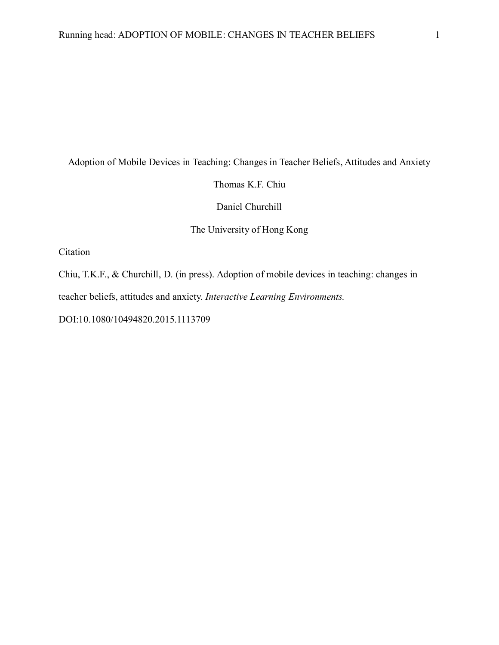Adoption of Mobile Devices in Teaching: Changes in Teacher Beliefs, Attitudes and Anxiety

Thomas K.F. Chiu

Daniel Churchill

The University of Hong Kong

Citation

Chiu, T.K.F., & Churchill, D. (in press). Adoption of mobile devices in teaching: changes in teacher beliefs, attitudes and anxiety. *Interactive Learning Environments.*

DOI:10.1080/10494820.2015.1113709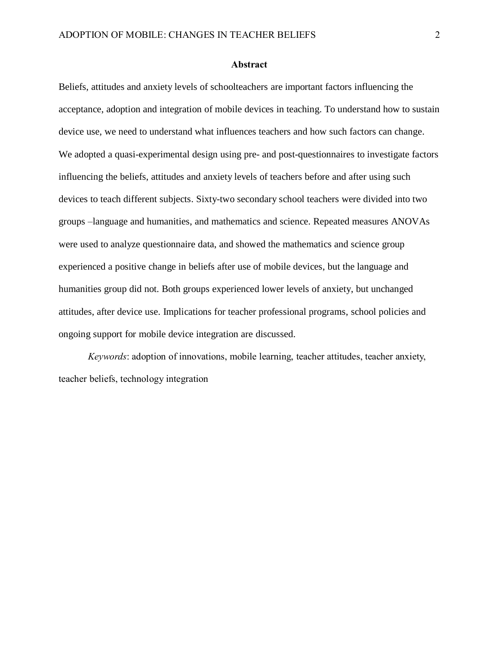#### **Abstract**

Beliefs, attitudes and anxiety levels of schoolteachers are important factors influencing the acceptance, adoption and integration of mobile devices in teaching. To understand how to sustain device use, we need to understand what influences teachers and how such factors can change. We adopted a quasi-experimental design using pre- and post-questionnaires to investigate factors influencing the beliefs, attitudes and anxiety levels of teachers before and after using such devices to teach different subjects. Sixty-two secondary school teachers were divided into two groups –language and humanities, and mathematics and science. Repeated measures ANOVAs were used to analyze questionnaire data, and showed the mathematics and science group experienced a positive change in beliefs after use of mobile devices, but the language and humanities group did not. Both groups experienced lower levels of anxiety, but unchanged attitudes, after device use. Implications for teacher professional programs, school policies and ongoing support for mobile device integration are discussed.

*Keywords*: adoption of innovations, mobile learning, teacher attitudes, teacher anxiety, teacher beliefs, technology integration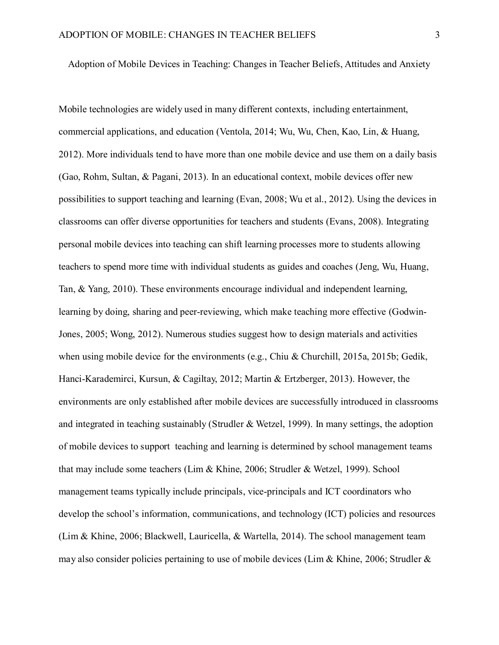Adoption of Mobile Devices in Teaching: Changes in Teacher Beliefs, Attitudes and Anxiety

Mobile technologies are widely used in many different contexts, including entertainment, commercial applications, and education (Ventola, 2014; Wu, Wu, Chen, Kao, Lin, & Huang, 2012). More individuals tend to have more than one mobile device and use them on a daily basis (Gao, Rohm, Sultan, & Pagani, 2013). In an educational context, mobile devices offer new possibilities to support teaching and learning (Evan, 2008; Wu et al., 2012). Using the devices in classrooms can offer diverse opportunities for teachers and students (Evans, 2008). Integrating personal mobile devices into teaching can shift learning processes more to students allowing teachers to spend more time with individual students as guides and coaches (Jeng, Wu, Huang, Tan, & Yang, 2010). These environments encourage individual and independent learning, learning by doing, sharing and peer-reviewing, which make teaching more effective (Godwin-Jones, 2005; Wong, 2012). Numerous studies suggest how to design materials and activities when using mobile device for the environments (e.g., Chiu & Churchill, 2015a, 2015b; Gedik, Hanci-Karademirci, Kursun, & Cagiltay, 2012; Martin & Ertzberger, 2013). However, the environments are only established after mobile devices are successfully introduced in classrooms and integrated in teaching sustainably (Strudler & Wetzel, 1999). In many settings, the adoption of mobile devices to support teaching and learning is determined by school management teams that may include some teachers (Lim & Khine, 2006; Strudler & Wetzel, 1999). School management teams typically include principals, vice-principals and ICT coordinators who develop the school's information, communications, and technology (ICT) policies and resources (Lim & Khine, 2006; Blackwell, Lauricella, & Wartella, 2014). The school management team may also consider policies pertaining to use of mobile devices (Lim & Khine, 2006; Strudler &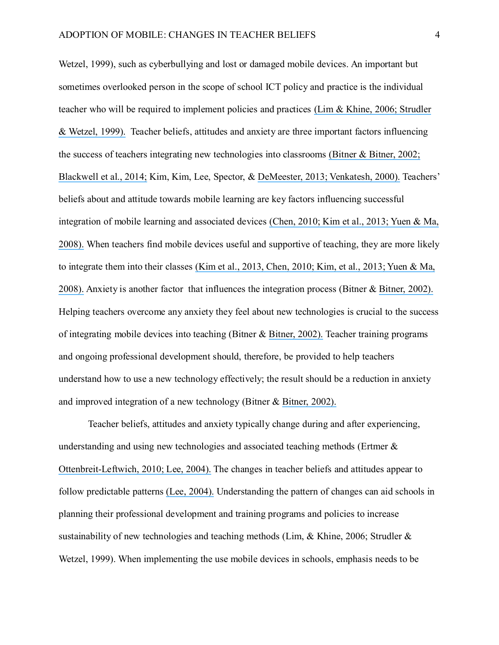Wetzel, 1999), such as cyberbullying and lost or damaged mobile devices. An important but sometimes overlooked person in the scope of school ICT policy and practice is the individual teacher who will be required to implement policies and practices [\(Lim & Khine, 2006; Strudler](https://www.researchgate.net/publication/49279393_Managing_Teachers) [& Wetzel, 1999\).](https://www.researchgate.net/publication/49279393_Managing_Teachers) Teacher beliefs, attitudes and anxiety are three important factors influencing the success of teachers integrating new technologies into classrooms [\(Bitner & Bitner, 2002;](https://www.researchgate.net/publication/262306847_Factors_influencing_digital_technology_use_in_early_childhood_education?el=1_x_8&enrichId=rgreq-b3f0b1a4-5eba-4124-9bc7-3fe008e2908f&enrichSource=Y292ZXJQYWdlOzI4ODg4OTA1OTtBUzozMTQ0NjY4NTg2NjgwMzhAMTQ1MTk4NjE0OTg0Nw==)  [Blackwell et al., 2014;](https://www.researchgate.net/publication/262306847_Factors_influencing_digital_technology_use_in_early_childhood_education?el=1_x_8&enrichId=rgreq-b3f0b1a4-5eba-4124-9bc7-3fe008e2908f&enrichSource=Y292ZXJQYWdlOzI4ODg4OTA1OTtBUzozMTQ0NjY4NTg2NjgwMzhAMTQ1MTk4NjE0OTg0Nw==) Kim, Kim, Lee, Spector, & DeMeester, [2013; Venkatesh, 2000\).](https://www.researchgate.net/publication/220079911_) Teachers' beliefs about and attitude towards mobile learning are key factors influencing successful integration of mobile learning and associated devices [\(Chen, 2010; Kim et al.,](https://www.researchgate.net/publication/257246060_Teacher_beliefs_and_technology_integration?el=1_x_8&enrichId=rgreq-b3f0b1a4-5eba-4124-9bc7-3fe008e2908f&enrichSource=Y292ZXJQYWdlOzI4ODg4OTA1OTtBUzozMTQ0NjY4NTg2NjgwMzhAMTQ1MTk4NjE0OTg0Nw==) 2013; Yuen & Ma, [2008\).](https://www.researchgate.net/publication/257246060_Teacher_beliefs_and_technology_integration?el=1_x_8&enrichId=rgreq-b3f0b1a4-5eba-4124-9bc7-3fe008e2908f&enrichSource=Y292ZXJQYWdlOzI4ODg4OTA1OTtBUzozMTQ0NjY4NTg2NjgwMzhAMTQ1MTk4NjE0OTg0Nw==) When teachers find mobile devices useful and supportive of teaching, they are more likely to integrate them into their classes (Kim et al., [2013, Chen, 2010; Kim, et al.,](https://www.researchgate.net/publication/257246060_Teacher_beliefs_and_technology_integration?el=1_x_8&enrichId=rgreq-b3f0b1a4-5eba-4124-9bc7-3fe008e2908f&enrichSource=Y292ZXJQYWdlOzI4ODg4OTA1OTtBUzozMTQ0NjY4NTg2NjgwMzhAMTQ1MTk4NjE0OTg0Nw==) 2013; Yuen & Ma, [2008\).](https://www.researchgate.net/publication/257246060_Teacher_beliefs_and_technology_integration?el=1_x_8&enrichId=rgreq-b3f0b1a4-5eba-4124-9bc7-3fe008e2908f&enrichSource=Y292ZXJQYWdlOzI4ODg4OTA1OTtBUzozMTQ0NjY4NTg2NjgwMzhAMTQ1MTk4NjE0OTg0Nw==) Anxiety is another factor that influences the integration process (Bitner & [Bitner, 2002\).](https://www.researchgate.net/publication/255566999_Integrating_Technology_into_the_Classroom_Eight_Keys_to_Success?el=1_x_8&enrichId=rgreq-b3f0b1a4-5eba-4124-9bc7-3fe008e2908f&enrichSource=Y292ZXJQYWdlOzI4ODg4OTA1OTtBUzozMTQ0NjY4NTg2NjgwMzhAMTQ1MTk4NjE0OTg0Nw==)  Helping teachers overcome any anxiety they feel about new technologies is crucial to the success of integrating mobile devices into teaching (Bitner & [Bitner, 2002\).](https://www.researchgate.net/publication/255566999_Integrating_Technology_into_the_Classroom_Eight_Keys_to_Success?el=1_x_8&enrichId=rgreq-b3f0b1a4-5eba-4124-9bc7-3fe008e2908f&enrichSource=Y292ZXJQYWdlOzI4ODg4OTA1OTtBUzozMTQ0NjY4NTg2NjgwMzhAMTQ1MTk4NjE0OTg0Nw==) Teacher training programs and ongoing professional development should, therefore, be provided to help teachers understand how to use a new technology effectively; the result should be a reduction in anxiety and improved integration of a new technology (Bitner & [Bitner, 2002\).](https://www.researchgate.net/publication/255566999_Integrating_Technology_into_the_Classroom_Eight_Keys_to_Success?el=1_x_8&enrichId=rgreq-b3f0b1a4-5eba-4124-9bc7-3fe008e2908f&enrichSource=Y292ZXJQYWdlOzI4ODg4OTA1OTtBUzozMTQ0NjY4NTg2NjgwMzhAMTQ1MTk4NjE0OTg0Nw==)

Teacher beliefs, attitudes and anxiety typically change during and after experiencing, understanding and using new technologies and associated teaching methods (Ertmer & [Ottenbreit-Leftwich, 2010; Lee, 2004\).](https://www.researchgate.net/publication/227784817_Teacher_Change_in_Beliefs_and_Practices_in_Science_and_Literacy_Instruction_with_English_Language_Learners?el=1_x_8&enrichId=rgreq-b3f0b1a4-5eba-4124-9bc7-3fe008e2908f&enrichSource=Y292ZXJQYWdlOzI4ODg4OTA1OTtBUzozMTQ0NjY4NTg2NjgwMzhAMTQ1MTk4NjE0OTg0Nw==) The changes in teacher beliefs and attitudes appear to follow predictable patterns [\(Lee, 2004\).](https://www.researchgate.net/publication/227784817_Teacher_Change_in_Beliefs_and_Practices_in_Science_and_Literacy_Instruction_with_English_Language_Learners?el=1_x_8&enrichId=rgreq-b3f0b1a4-5eba-4124-9bc7-3fe008e2908f&enrichSource=Y292ZXJQYWdlOzI4ODg4OTA1OTtBUzozMTQ0NjY4NTg2NjgwMzhAMTQ1MTk4NjE0OTg0Nw==) Understanding the pattern of changes can aid schools in planning their professional development and training programs and policies to increase sustainability of new technologies and teaching methods (Lim, & Khine, 2006; Strudler & Wetzel, 1999). When implementing the use mobile devices in schools, emphasis needs to be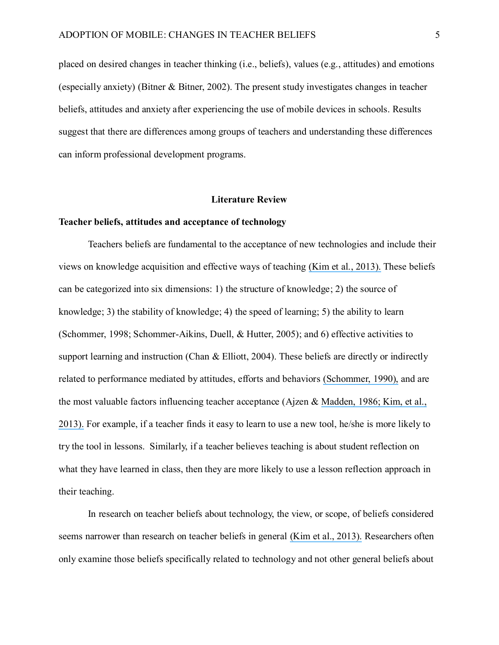placed on desired changes in teacher thinking (i.e., beliefs), values (e.g., attitudes) and emotions (especially anxiety) (Bitner & Bitner, 2002). The present study investigates changes in teacher beliefs, attitudes and anxiety after experiencing the use of mobile devices in schools. Results suggest that there are differences among groups of teachers and understanding these differences can inform professional development programs.

## **Literature Review**

## **Teacher beliefs, attitudes and acceptance of technology**

Teachers beliefs are fundamental to the acceptance of new technologies and include their views on knowledge acquisition and effective ways of teaching [\(Kim et al., 2013\).](https://www.researchgate.net/publication/257246060_Teacher_beliefs_and_technology_integration?el=1_x_8&enrichId=rgreq-b3f0b1a4-5eba-4124-9bc7-3fe008e2908f&enrichSource=Y292ZXJQYWdlOzI4ODg4OTA1OTtBUzozMTQ0NjY4NTg2NjgwMzhAMTQ1MTk4NjE0OTg0Nw==) These beliefs can be categorized into six dimensions: 1) the structure of knowledge; 2) the source of knowledge; 3) the stability of knowledge; 4) the speed of learning; 5) the ability to learn (Schommer, 1998; Schommer-Aikins, Duell, & Hutter, 2005); and 6) effective activities to support learning and instruction (Chan  $\&$  Elliott, 2004). These beliefs are directly or indirectly related to performance mediated by attitudes, efforts and behaviors [\(Schommer, 1990\),](https://www.researchgate.net/publication/200773160_Effects_of_Beliefs_About_the_Nature_of_Knowledge_on_Comprehension?el=1_x_8&enrichId=rgreq-b3f0b1a4-5eba-4124-9bc7-3fe008e2908f&enrichSource=Y292ZXJQYWdlOzI4ODg4OTA1OTtBUzozMTQ0NjY4NTg2NjgwMzhAMTQ1MTk4NjE0OTg0Nw==) and are the most valuable factors influencing teacher acceptance (Ajzen & [Madden, 1986; Kim, et al.,](https://www.researchgate.net/publication/257246060_Teacher_beliefs_and_technology_integration?el=1_x_8&enrichId=rgreq-b3f0b1a4-5eba-4124-9bc7-3fe008e2908f&enrichSource=Y292ZXJQYWdlOzI4ODg4OTA1OTtBUzozMTQ0NjY4NTg2NjgwMzhAMTQ1MTk4NjE0OTg0Nw==)  [2013\).](https://www.researchgate.net/publication/257246060_Teacher_beliefs_and_technology_integration?el=1_x_8&enrichId=rgreq-b3f0b1a4-5eba-4124-9bc7-3fe008e2908f&enrichSource=Y292ZXJQYWdlOzI4ODg4OTA1OTtBUzozMTQ0NjY4NTg2NjgwMzhAMTQ1MTk4NjE0OTg0Nw==) For example, if a teacher finds it easy to learn to use a new tool, he/she is more likely to try the tool in lessons. Similarly, if a teacher believes teaching is about student reflection on what they have learned in class, then they are more likely to use a lesson reflection approach in their teaching.

In research on teacher beliefs about technology, the view, or scope, of beliefs considered seems narrower than research on teacher beliefs in general [\(Kim et al., 2013\).](https://www.researchgate.net/publication/257246060_Teacher_beliefs_and_technology_integration?el=1_x_8&enrichId=rgreq-b3f0b1a4-5eba-4124-9bc7-3fe008e2908f&enrichSource=Y292ZXJQYWdlOzI4ODg4OTA1OTtBUzozMTQ0NjY4NTg2NjgwMzhAMTQ1MTk4NjE0OTg0Nw==) Researchers often only examine those beliefs specifically related to technology and not other general beliefs about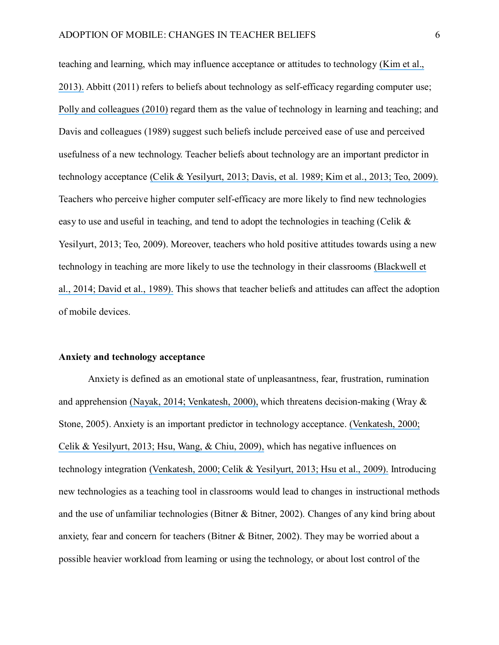teaching and learning, which may influence acceptance or attitudes to technology [\(Kim et al.,](https://www.researchgate.net/publication/257246060_Teacher_beliefs_and_technology_integration?el=1_x_8&enrichId=rgreq-b3f0b1a4-5eba-4124-9bc7-3fe008e2908f&enrichSource=Y292ZXJQYWdlOzI4ODg4OTA1OTtBUzozMTQ0NjY4NTg2NjgwMzhAMTQ1MTk4NjE0OTg0Nw==)  [2013\).](https://www.researchgate.net/publication/257246060_Teacher_beliefs_and_technology_integration?el=1_x_8&enrichId=rgreq-b3f0b1a4-5eba-4124-9bc7-3fe008e2908f&enrichSource=Y292ZXJQYWdlOzI4ODg4OTA1OTtBUzozMTQ0NjY4NTg2NjgwMzhAMTQ1MTk4NjE0OTg0Nw==) Abbitt (2011) refers to beliefs about technology as self-efficacy regarding computer use; [Polly and colleagues \(2010\)](https://www.researchgate.net/publication/255567450_Employing_Technology-Rich_Mathematical_Tasks_to_Develop_Teachers) regard them as the value of technology in learning and teaching; and Davis and colleagues (1989) suggest such beliefs include perceived ease of use and perceived usefulness of a new technology. Teacher beliefs about technology are an important predictor in technology acceptance [\(Celik & Yesilyurt, 2013; Davis, et al. 1989; Kim et al., 2013; Teo, 2009\).](https://www.researchgate.net/publication/285023147_Perceived_Usefulness_Perceived_Ease_of_Use_and_User_Acceptance_of_Information_Technology?el=1_x_8&enrichId=rgreq-b3f0b1a4-5eba-4124-9bc7-3fe008e2908f&enrichSource=Y292ZXJQYWdlOzI4ODg4OTA1OTtBUzozMTQ0NjY4NTg2NjgwMzhAMTQ1MTk4NjE0OTg0Nw==) Teachers who perceive higher computer self-efficacy are more likely to find new technologies easy to use and useful in teaching, and tend to adopt the technologies in teaching (Celik & Yesilyurt, 2013; Teo, 2009). Moreover, teachers who hold positive attitudes towards using a new technology in teaching are more likely to use the technology in their classrooms [\(Blackwell et](https://www.researchgate.net/publication/262306847_Factors_influencing_digital_technology_use_in_early_childhood_education?el=1_x_8&enrichId=rgreq-b3f0b1a4-5eba-4124-9bc7-3fe008e2908f&enrichSource=Y292ZXJQYWdlOzI4ODg4OTA1OTtBUzozMTQ0NjY4NTg2NjgwMzhAMTQ1MTk4NjE0OTg0Nw==) [al., 2014; David](https://www.researchgate.net/publication/262306847_Factors_influencing_digital_technology_use_in_early_childhood_education?el=1_x_8&enrichId=rgreq-b3f0b1a4-5eba-4124-9bc7-3fe008e2908f&enrichSource=Y292ZXJQYWdlOzI4ODg4OTA1OTtBUzozMTQ0NjY4NTg2NjgwMzhAMTQ1MTk4NjE0OTg0Nw==) et al., 1989). This shows that teacher beliefs and attitudes can affect the adoption of mobile devices.

#### **Anxiety and technology acceptance**

Anxiety is defined as an emotional state of unpleasantness, fear, frustration, rumination and apprehension [\(Nayak, 2014; Venkatesh, 2000\),](https://www.researchgate.net/publication/220079911_) which threatens decision-making (Wray & Stone, 2005). Anxiety is an important predictor in technology acceptance. [\(Venkatesh, 2000;](https://www.researchgate.net/publication/220079911_) Celik & [Yesilyurt, 2013; Hsu, Wang, & Chiu, 2009\),](https://www.researchgate.net/publication/220079911_) which has negative influences on technology integration (Venkatesh, 2000; Celik & [Yesilyurt, 2013; Hsu et al.,](https://www.researchgate.net/publication/220079911_) 2009). Introducing new technologies as a teaching tool in classrooms would lead to changes in instructional methods and the use of unfamiliar technologies (Bitner & Bitner, 2002). Changes of any kind bring about anxiety, fear and concern for teachers (Bitner & Bitner, 2002). They may be worried about a possible heavier workload from learning or using the technology, or about lost control of the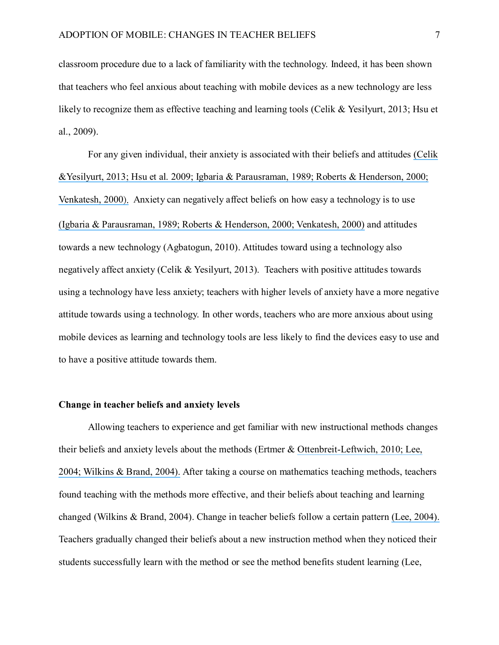classroom procedure due to a lack of familiarity with the technology. Indeed, it has been shown that teachers who feel anxious about teaching with mobile devices as a new technology are less likely to recognize them as effective teaching and learning tools (Celik & Yesilyurt, 2013; Hsu et al., 2009).

For any given individual, their anxiety is associated with their beliefs and attitudes [\(Celik](https://www.researchgate.net/publication/220079911_)  &Yesilyurt, 2013; Hsu et al. 2009; [Igbaria & Parausraman, 1989; Roberts & Henderson, 2000;](https://www.researchgate.net/publication/220079911_)  [Venkatesh, 2000](https://www.researchgate.net/publication/220079911_)). Anxiety can negatively affect beliefs on how easy a technology is to use [\(Igbaria & Parausraman, 1989; Roberts & Henderson, 2000; Venkatesh, 2000\)](https://www.researchgate.net/publication/220079911_) and attitudes towards a new technology (Agbatogun, 2010). Attitudes toward using a technology also negatively affect anxiety (Celik & Yesilyurt, 2013). Teachers with positive attitudes towards using a technology have less anxiety; teachers with higher levels of anxiety have a more negative attitude towards using a technology. In other words, teachers who are more anxious about using mobile devices as learning and technology tools are less likely to find the devices easy to use and to have a positive attitude towards them.

#### **Change in teacher beliefs and anxiety levels**

Allowing teachers to experience and get familiar with new instructional methods changes their beliefs and anxiety levels about the methods (Ertmer & [Ottenbreit-Leftwich, 2010; Lee,](https://www.researchgate.net/publication/227784817_Teacher_Change_in_Beliefs_and_Practices_in_Science_and_Literacy_Instruction_with_English_Language_Learners?el=1_x_8&enrichId=rgreq-b3f0b1a4-5eba-4124-9bc7-3fe008e2908f&enrichSource=Y292ZXJQYWdlOzI4ODg4OTA1OTtBUzozMTQ0NjY4NTg2NjgwMzhAMTQ1MTk4NjE0OTg0Nw==) [2004; Wilkins & Brand, 2004\).](https://www.researchgate.net/publication/227784817_Teacher_Change_in_Beliefs_and_Practices_in_Science_and_Literacy_Instruction_with_English_Language_Learners?el=1_x_8&enrichId=rgreq-b3f0b1a4-5eba-4124-9bc7-3fe008e2908f&enrichSource=Y292ZXJQYWdlOzI4ODg4OTA1OTtBUzozMTQ0NjY4NTg2NjgwMzhAMTQ1MTk4NjE0OTg0Nw==) After taking a course on mathematics teaching methods, teachers found teaching with the methods more effective, and their beliefs about teaching and learning changed (Wilkins & Brand, 2004). Change in teacher beliefs follow a certain pattern [\(Lee, 2004\).](https://www.researchgate.net/publication/227784817_Teacher_Change_in_Beliefs_and_Practices_in_Science_and_Literacy_Instruction_with_English_Language_Learners?el=1_x_8&enrichId=rgreq-b3f0b1a4-5eba-4124-9bc7-3fe008e2908f&enrichSource=Y292ZXJQYWdlOzI4ODg4OTA1OTtBUzozMTQ0NjY4NTg2NjgwMzhAMTQ1MTk4NjE0OTg0Nw==) Teachers gradually changed their beliefs about a new instruction method when they noticed their students successfully learn with the method or see the method benefits student learning (Lee,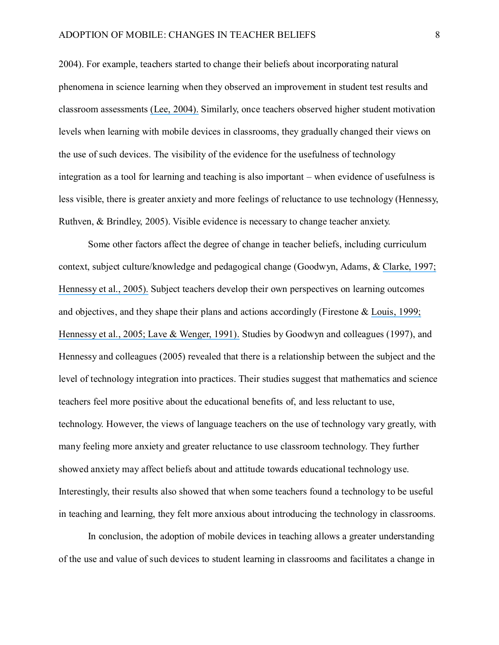2004). For example, teachers started to change their beliefs about incorporating natural phenomena in science learning when they observed an improvement in student test results and classroom assessments [\(Lee, 2004\).](https://www.researchgate.net/publication/227784817_Teacher_Change_in_Beliefs_and_Practices_in_Science_and_Literacy_Instruction_with_English_Language_Learners?el=1_x_8&enrichId=rgreq-b3f0b1a4-5eba-4124-9bc7-3fe008e2908f&enrichSource=Y292ZXJQYWdlOzI4ODg4OTA1OTtBUzozMTQ0NjY4NTg2NjgwMzhAMTQ1MTk4NjE0OTg0Nw==) Similarly, once teachers observed higher student motivation levels when learning with mobile devices in classrooms, they gradually changed their views on the use of such devices. The visibility of the evidence for the usefulness of technology integration as a tool for learning and teaching is also important – when evidence of usefulness is less visible, there is greater anxiety and more feelings of reluctance to use technology (Hennessy, Ruthven, & Brindley, 2005). Visible evidence is necessary to change teacher anxiety.

Some other factors affect the degree of change in teacher beliefs, including curriculum context, subject culture/knowledge and pedagogical change (Goodwyn, Adams, & [Clarke, 1997;](https://www.researchgate.net/publication/251452560_Teacher_perspectives_on_integrating_ICT_into_subject_teaching_Commitment_constraints_caution_and_change_Journal_of_Curriculum_Studies_372_155-192?el=1_x_8&enrichId=rgreq-b3f0b1a4-5eba-4124-9bc7-3fe008e2908f&enrichSource=Y292ZXJQYWdlOzI4ODg4OTA1OTtBUzozMTQ0NjY4NTg2NjgwMzhAMTQ1MTk4NjE0OTg0Nw==)  [Hennessy et al., 2005\).](https://www.researchgate.net/publication/251452560_Teacher_perspectives_on_integrating_ICT_into_subject_teaching_Commitment_constraints_caution_and_change_Journal_of_Curriculum_Studies_372_155-192?el=1_x_8&enrichId=rgreq-b3f0b1a4-5eba-4124-9bc7-3fe008e2908f&enrichSource=Y292ZXJQYWdlOzI4ODg4OTA1OTtBUzozMTQ0NjY4NTg2NjgwMzhAMTQ1MTk4NjE0OTg0Nw==) Subject teachers develop their own perspectives on learning outcomes and objectives, and they shape their plans and actions accordingly (Firestone & [Louis,](https://www.researchgate.net/publication/220040555_Situated_Learning_Legitimate_Peripheral_Participation_Learning_in_Doing?el=1_x_8&enrichId=rgreq-b3f0b1a4-5eba-4124-9bc7-3fe008e2908f&enrichSource=Y292ZXJQYWdlOzI4ODg4OTA1OTtBUzozMTQ0NjY4NTg2NjgwMzhAMTQ1MTk4NjE0OTg0Nw==) 1999; [Hennessy et al., 2005; Lave & Wenger, 1991\).](https://www.researchgate.net/publication/220040555_Situated_Learning_Legitimate_Peripheral_Participation_Learning_in_Doing?el=1_x_8&enrichId=rgreq-b3f0b1a4-5eba-4124-9bc7-3fe008e2908f&enrichSource=Y292ZXJQYWdlOzI4ODg4OTA1OTtBUzozMTQ0NjY4NTg2NjgwMzhAMTQ1MTk4NjE0OTg0Nw==) Studies by Goodwyn and colleagues (1997), and Hennessy and colleagues (2005) revealed that there is a relationship between the subject and the level of technology integration into practices. Their studies suggest that mathematics and science teachers feel more positive about the educational benefits of, and less reluctant to use, technology. However, the views of language teachers on the use of technology vary greatly, with many feeling more anxiety and greater reluctance to use classroom technology. They further showed anxiety may affect beliefs about and attitude towards educational technology use. Interestingly, their results also showed that when some teachers found a technology to be useful in teaching and learning, they felt more anxious about introducing the technology in classrooms.

In conclusion, the adoption of mobile devices in teaching allows a greater understanding of the use and value of such devices to student learning in classrooms and facilitates a change in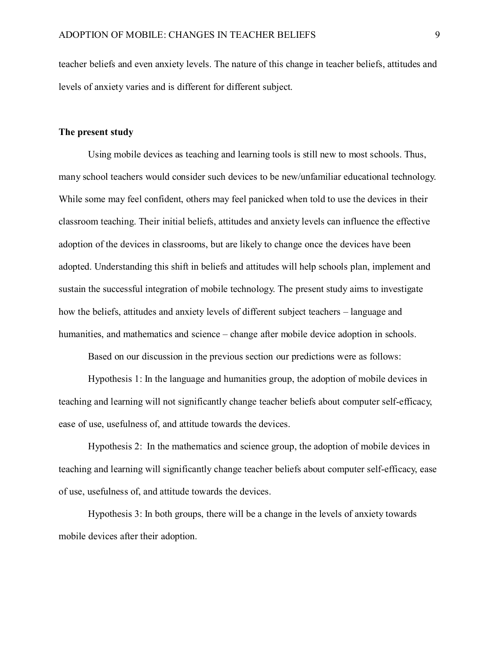teacher beliefs and even anxiety levels. The nature of this change in teacher beliefs, attitudes and levels of anxiety varies and is different for different subject.

## **The present study**

Using mobile devices as teaching and learning tools is still new to most schools. Thus, many school teachers would consider such devices to be new/unfamiliar educational technology. While some may feel confident, others may feel panicked when told to use the devices in their classroom teaching. Their initial beliefs, attitudes and anxiety levels can influence the effective adoption of the devices in classrooms, but are likely to change once the devices have been adopted. Understanding this shift in beliefs and attitudes will help schools plan, implement and sustain the successful integration of mobile technology. The present study aims to investigate how the beliefs, attitudes and anxiety levels of different subject teachers – language and humanities, and mathematics and science – change after mobile device adoption in schools.

Based on our discussion in the previous section our predictions were as follows:

Hypothesis 1: In the language and humanities group, the adoption of mobile devices in teaching and learning will not significantly change teacher beliefs about computer self-efficacy, ease of use, usefulness of, and attitude towards the devices.

Hypothesis 2: In the mathematics and science group, the adoption of mobile devices in teaching and learning will significantly change teacher beliefs about computer self-efficacy, ease of use, usefulness of, and attitude towards the devices.

Hypothesis 3: In both groups, there will be a change in the levels of anxiety towards mobile devices after their adoption.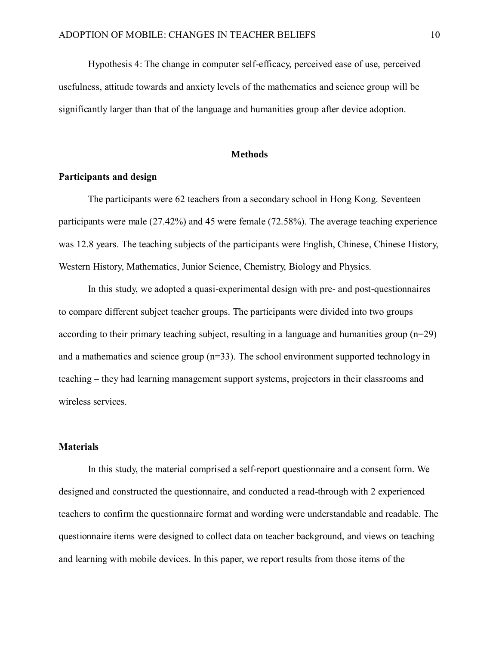Hypothesis 4: The change in computer self-efficacy, perceived ease of use, perceived usefulness, attitude towards and anxiety levels of the mathematics and science group will be significantly larger than that of the language and humanities group after device adoption.

#### **Methods**

## **Participants and design**

The participants were 62 teachers from a secondary school in Hong Kong. Seventeen participants were male (27.42%) and 45 were female (72.58%). The average teaching experience was 12.8 years. The teaching subjects of the participants were English, Chinese, Chinese History, Western History, Mathematics, Junior Science, Chemistry, Biology and Physics.

In this study, we adopted a quasi-experimental design with pre- and post-questionnaires to compare different subject teacher groups. The participants were divided into two groups according to their primary teaching subject, resulting in a language and humanities group (n=29) and a mathematics and science group  $(n=33)$ . The school environment supported technology in teaching – they had learning management support systems, projectors in their classrooms and wireless services.

#### **Materials**

In this study, the material comprised a self-report questionnaire and a consent form. We designed and constructed the questionnaire, and conducted a read-through with 2 experienced teachers to confirm the questionnaire format and wording were understandable and readable. The questionnaire items were designed to collect data on teacher background, and views on teaching and learning with mobile devices. In this paper, we report results from those items of the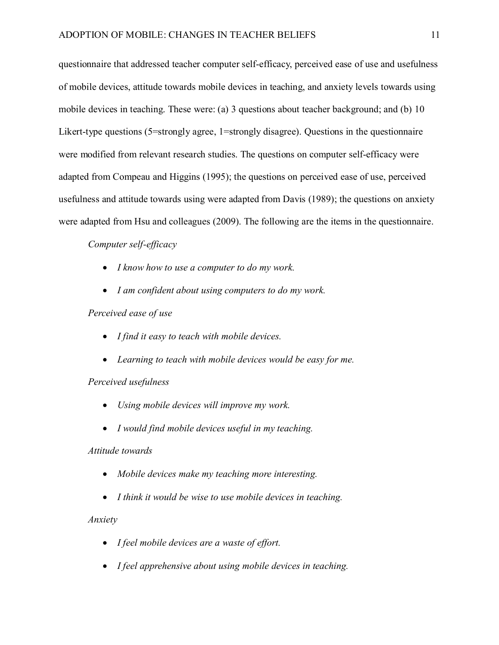questionnaire that addressed teacher computer self-efficacy, perceived ease of use and usefulness of mobile devices, attitude towards mobile devices in teaching, and anxiety levels towards using mobile devices in teaching. These were: (a) 3 questions about teacher background; and (b) 10 Likert-type questions (5=strongly agree, 1=strongly disagree). Questions in the questionnaire were modified from relevant research studies. The questions on computer self-efficacy were adapted from Compeau and Higgins (1995); the questions on perceived ease of use, perceived usefulness and attitude towards using were adapted from Davis (1989); the questions on anxiety were adapted from Hsu and colleagues (2009). The following are the items in the questionnaire.

## *Computer self-efficacy*

- *I know how to use a computer to do my work.*
- *I am confident about using computers to do my work.*

## *Perceived ease of use*

- *I find it easy to teach with mobile devices.*
- *Learning to teach with mobile devices would be easy for me.*

## *Perceived usefulness*

- *Using mobile devices will improve my work.*
- *I would find mobile devices useful in my teaching.*

## *Attitude towards*

- *Mobile devices make my teaching more interesting.*
- *I think it would be wise to use mobile devices in teaching.*

## *Anxiety*

- *I feel mobile devices are a waste of effort.*
- *I feel apprehensive about using mobile devices in teaching.*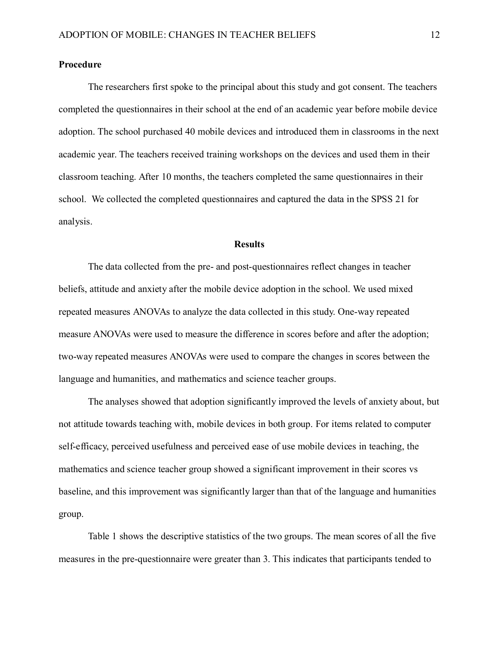## **Procedure**

The researchers first spoke to the principal about this study and got consent. The teachers completed the questionnaires in their school at the end of an academic year before mobile device adoption. The school purchased 40 mobile devices and introduced them in classrooms in the next academic year. The teachers received training workshops on the devices and used them in their classroom teaching. After 10 months, the teachers completed the same questionnaires in their school. We collected the completed questionnaires and captured the data in the SPSS 21 for analysis.

#### **Results**

The data collected from the pre- and post-questionnaires reflect changes in teacher beliefs, attitude and anxiety after the mobile device adoption in the school. We used mixed repeated measures ANOVAs to analyze the data collected in this study. One-way repeated measure ANOVAs were used to measure the difference in scores before and after the adoption; two-way repeated measures ANOVAs were used to compare the changes in scores between the language and humanities, and mathematics and science teacher groups.

The analyses showed that adoption significantly improved the levels of anxiety about, but not attitude towards teaching with, mobile devices in both group. For items related to computer self-efficacy, perceived usefulness and perceived ease of use mobile devices in teaching, the mathematics and science teacher group showed a significant improvement in their scores vs baseline, and this improvement was significantly larger than that of the language and humanities group.

Table 1 shows the descriptive statistics of the two groups. The mean scores of all the five measures in the pre-questionnaire were greater than 3. This indicates that participants tended to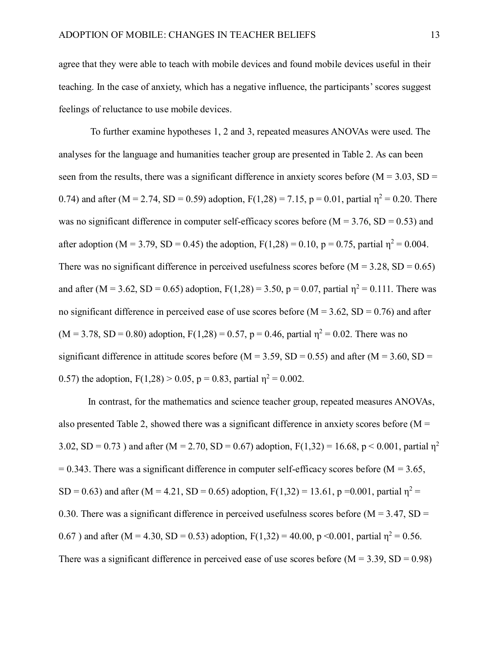agree that they were able to teach with mobile devices and found mobile devices useful in their teaching. In the case of anxiety, which has a negative influence, the participants' scores suggest feelings of reluctance to use mobile devices.

To further examine hypotheses 1, 2 and 3, repeated measures ANOVAs were used. The analyses for the language and humanities teacher group are presented in Table 2. As can been seen from the results, there was a significant difference in anxiety scores before ( $M = 3.03$ , SD = 0.74) and after (M = 2.74, SD = 0.59) adoption,  $F(1,28) = 7.15$ , p = 0.01, partial  $\eta^2 = 0.20$ . There was no significant difference in computer self-efficacy scores before  $(M = 3.76, SD = 0.53)$  and after adoption (M = 3.79, SD = 0.45) the adoption,  $F(1,28) = 0.10$ , p = 0.75, partial  $\eta^2 = 0.004$ . There was no significant difference in perceived usefulness scores before  $(M = 3.28, SD = 0.65)$ and after (M = 3.62, SD = 0.65) adoption,  $F(1,28) = 3.50$ , p = 0.07, partial  $\eta^2 = 0.111$ . There was no significant difference in perceived ease of use scores before ( $M = 3.62$ , SD = 0.76) and after  $(M = 3.78, SD = 0.80)$  adoption,  $F(1,28) = 0.57$ ,  $p = 0.46$ , partial  $\eta^2 = 0.02$ . There was no significant difference in attitude scores before ( $M = 3.59$ ,  $SD = 0.55$ ) and after ( $M = 3.60$ ,  $SD =$ 0.57) the adoption,  $F(1,28) > 0.05$ ,  $p = 0.83$ , partial  $\eta^2 = 0.002$ .

In contrast, for the mathematics and science teacher group, repeated measures ANOVAs, also presented Table 2, showed there was a significant difference in anxiety scores before  $(M =$ 3.02, SD = 0.73) and after (M = 2.70, SD = 0.67) adoption,  $F(1,32) = 16.68$ , p < 0.001, partial  $\eta^2$  $= 0.343$ . There was a significant difference in computer self-efficacy scores before (M = 3.65, SD = 0.63) and after (M = 4.21, SD = 0.65) adoption,  $F(1,32) = 13.61$ , p = 0.001, partial  $\eta^2$  = 0.30. There was a significant difference in perceived usefulness scores before ( $M = 3.47$ , SD = 0.67) and after (M = 4.30, SD = 0.53) adoption,  $F(1,32) = 40.00$ , p < 0.001, partial  $\eta^2 = 0.56$ . There was a significant difference in perceived ease of use scores before  $(M = 3.39, SD = 0.98)$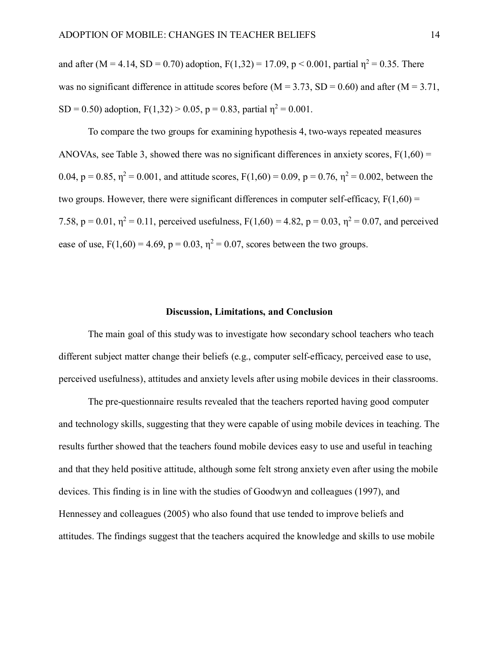and after (M = 4.14, SD = 0.70) adoption,  $F(1,32) = 17.09$ , p < 0.001, partial  $\eta^2 = 0.35$ . There was no significant difference in attitude scores before  $(M = 3.73, SD = 0.60)$  and after  $(M = 3.71,$ SD = 0.50) adoption,  $F(1,32) > 0.05$ , p = 0.83, partial  $\eta^2 = 0.001$ .

To compare the two groups for examining hypothesis 4, two-ways repeated measures ANOVAs, see Table 3, showed there was no significant differences in anxiety scores,  $F(1,60) =$ 0.04,  $p = 0.85$ ,  $\eta^2 = 0.001$ , and attitude scores,  $F(1,60) = 0.09$ ,  $p = 0.76$ ,  $\eta^2 = 0.002$ , between the two groups. However, there were significant differences in computer self-efficacy,  $F(1,60) =$ 7.58,  $p = 0.01$ ,  $\eta^2 = 0.11$ , perceived usefulness,  $F(1,60) = 4.82$ ,  $p = 0.03$ ,  $\eta^2 = 0.07$ , and perceived ease of use,  $F(1,60) = 4.69$ ,  $p = 0.03$ ,  $\eta^2 = 0.07$ , scores between the two groups.

#### **Discussion, Limitations, and Conclusion**

The main goal of this study was to investigate how secondary school teachers who teach different subject matter change their beliefs (e.g., computer self-efficacy, perceived ease to use, perceived usefulness), attitudes and anxiety levels after using mobile devices in their classrooms.

The pre-questionnaire results revealed that the teachers reported having good computer and technology skills, suggesting that they were capable of using mobile devices in teaching. The results further showed that the teachers found mobile devices easy to use and useful in teaching and that they held positive attitude, although some felt strong anxiety even after using the mobile devices. This finding is in line with the studies of Goodwyn and colleagues (1997), and Hennessey and colleagues (2005) who also found that use tended to improve beliefs and attitudes. The findings suggest that the teachers acquired the knowledge and skills to use mobile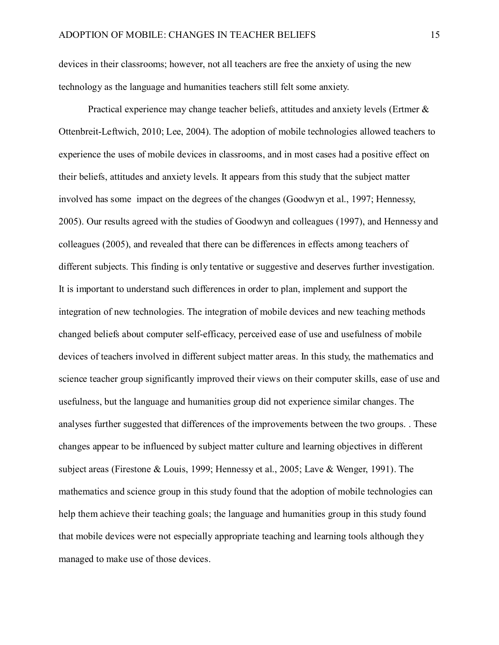devices in their classrooms; however, not all teachers are free the anxiety of using the new technology as the language and humanities teachers still felt some anxiety.

Practical experience may change teacher beliefs, attitudes and anxiety levels (Ertmer  $\&$ Ottenbreit-Leftwich, 2010; Lee, 2004). The adoption of mobile technologies allowed teachers to experience the uses of mobile devices in classrooms, and in most cases had a positive effect on their beliefs, attitudes and anxiety levels. It appears from this study that the subject matter involved has some impact on the degrees of the changes (Goodwyn et al., 1997; Hennessy, 2005). Our results agreed with the studies of Goodwyn and colleagues (1997), and Hennessy and colleagues (2005), and revealed that there can be differences in effects among teachers of different subjects. This finding is only tentative or suggestive and deserves further investigation. It is important to understand such differences in order to plan, implement and support the integration of new technologies. The integration of mobile devices and new teaching methods changed beliefs about computer self-efficacy, perceived ease of use and usefulness of mobile devices of teachers involved in different subject matter areas. In this study, the mathematics and science teacher group significantly improved their views on their computer skills, ease of use and usefulness, but the language and humanities group did not experience similar changes. The analyses further suggested that differences of the improvements between the two groups. . These changes appear to be influenced by subject matter culture and learning objectives in different subject areas (Firestone & Louis, 1999; Hennessy et al., 2005; Lave & Wenger, 1991). The mathematics and science group in this study found that the adoption of mobile technologies can help them achieve their teaching goals; the language and humanities group in this study found that mobile devices were not especially appropriate teaching and learning tools although they managed to make use of those devices.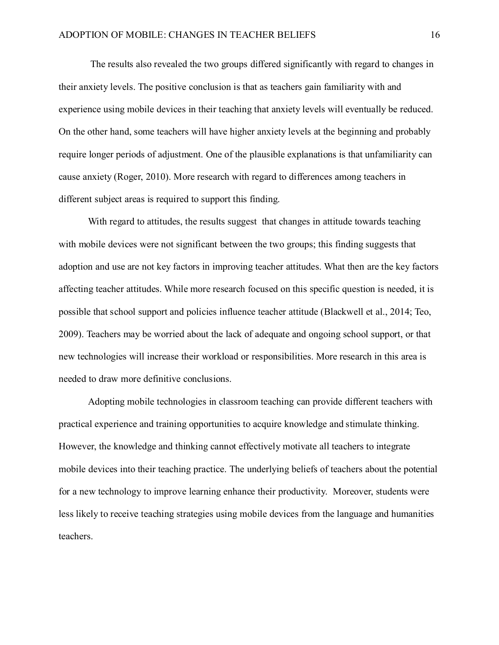The results also revealed the two groups differed significantly with regard to changes in their anxiety levels. The positive conclusion is that as teachers gain familiarity with and experience using mobile devices in their teaching that anxiety levels will eventually be reduced. On the other hand, some teachers will have higher anxiety levels at the beginning and probably require longer periods of adjustment. One of the plausible explanations is that unfamiliarity can cause anxiety (Roger, 2010). More research with regard to differences among teachers in different subject areas is required to support this finding.

With regard to attitudes, the results suggest that changes in attitude towards teaching with mobile devices were not significant between the two groups; this finding suggests that adoption and use are not key factors in improving teacher attitudes. What then are the key factors affecting teacher attitudes. While more research focused on this specific question is needed, it is possible that school support and policies influence teacher attitude (Blackwell et al., 2014; Teo, 2009). Teachers may be worried about the lack of adequate and ongoing school support, or that new technologies will increase their workload or responsibilities. More research in this area is needed to draw more definitive conclusions.

Adopting mobile technologies in classroom teaching can provide different teachers with practical experience and training opportunities to acquire knowledge and stimulate thinking. However, the knowledge and thinking cannot effectively motivate all teachers to integrate mobile devices into their teaching practice. The underlying beliefs of teachers about the potential for a new technology to improve learning enhance their productivity. Moreover, students were less likely to receive teaching strategies using mobile devices from the language and humanities teachers.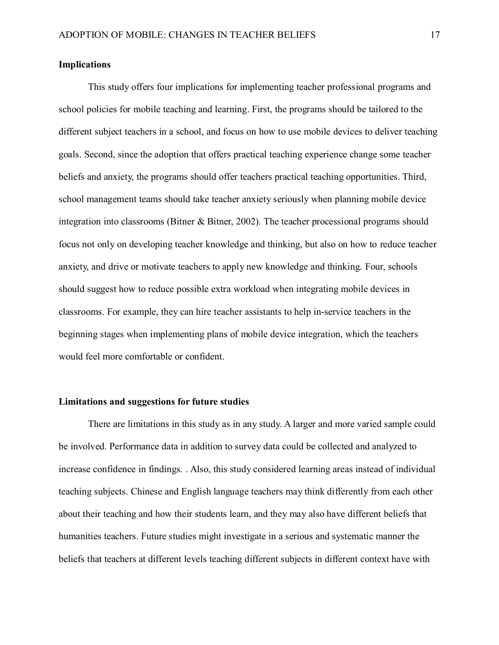## **Implications**

This study offers four implications for implementing teacher professional programs and school policies for mobile teaching and learning. First, the programs should be tailored to the different subject teachers in a school, and focus on how to use mobile devices to deliver teaching goals. Second, since the adoption that offers practical teaching experience change some teacher beliefs and anxiety, the programs should offer teachers practical teaching opportunities. Third, school management teams should take teacher anxiety seriously when planning mobile device integration into classrooms (Bitner & Bitner, 2002). The teacher processional programs should focus not only on developing teacher knowledge and thinking, but also on how to reduce teacher anxiety, and drive or motivate teachers to apply new knowledge and thinking. Four, schools should suggest how to reduce possible extra workload when integrating mobile devices in classrooms. For example, they can hire teacher assistants to help in-service teachers in the beginning stages when implementing plans of mobile device integration, which the teachers would feel more comfortable or confident.

## **Limitations and suggestions for future studies**

There are limitations in this study as in any study. A larger and more varied sample could be involved. Performance data in addition to survey data could be collected and analyzed to increase confidence in findings. . Also, this study considered learning areas instead of individual teaching subjects. Chinese and English language teachers may think differently from each other about their teaching and how their students learn, and they may also have different beliefs that humanities teachers. Future studies might investigate in a serious and systematic manner the beliefs that teachers at different levels teaching different subjects in different context have with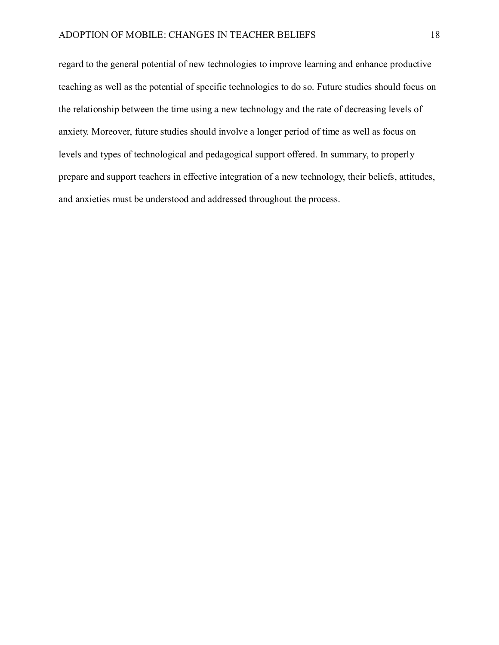regard to the general potential of new technologies to improve learning and enhance productive teaching as well as the potential of specific technologies to do so. Future studies should focus on the relationship between the time using a new technology and the rate of decreasing levels of anxiety. Moreover, future studies should involve a longer period of time as well as focus on levels and types of technological and pedagogical support offered. In summary, to properly prepare and support teachers in effective integration of a new technology, their beliefs, attitudes, and anxieties must be understood and addressed throughout the process.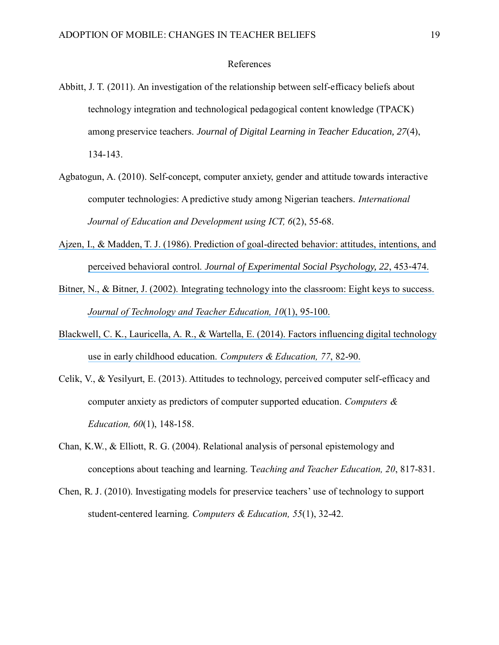#### References

- Abbitt, J. T. (2011). An investigation of the relationship between self-efficacy beliefs about technology integration and technological pedagogical content knowledge (TPACK) among preservice teachers. *Journal of Digital Learning in Teacher Education, 27*(4), 134-143.
- Agbatogun, A. (2010). Self-concept, computer anxiety, gender and attitude towards interactive computer technologies: A predictive study among Nigerian teachers. *International Journal of Education and Development using ICT, 6*(2), 55-68.
- [Ajzen, I., & Madden, T. J. \(1986\). Prediction of goal-directed behavior: attitudes, intentions, and](https://www.researchgate.net/publication/256230310_Prediction_of_Goal-Directed_Behavior_Attitudes_Intentions_and_Perceived_Behavioral_Control?el=1_x_8&enrichId=rgreq-b3f0b1a4-5eba-4124-9bc7-3fe008e2908f&enrichSource=Y292ZXJQYWdlOzI4ODg4OTA1OTtBUzozMTQ0NjY4NTg2NjgwMzhAMTQ1MTk4NjE0OTg0Nw==) perceived behavioral control. *[Journal of Experimental Social Psychology, 22](https://www.researchgate.net/publication/256230310_Prediction_of_Goal-Directed_Behavior_Attitudes_Intentions_and_Perceived_Behavioral_Control?el=1_x_8&enrichId=rgreq-b3f0b1a4-5eba-4124-9bc7-3fe008e2908f&enrichSource=Y292ZXJQYWdlOzI4ODg4OTA1OTtBUzozMTQ0NjY4NTg2NjgwMzhAMTQ1MTk4NjE0OTg0Nw==)*, 453-474.
- [Bitner, N., & Bitner, J. \(2002\). Integrating technology into the classroom: Eight keys to success.](https://www.researchgate.net/publication/255566999_Integrating_Technology_into_the_Classroom_Eight_Keys_to_Success?el=1_x_8&enrichId=rgreq-b3f0b1a4-5eba-4124-9bc7-3fe008e2908f&enrichSource=Y292ZXJQYWdlOzI4ODg4OTA1OTtBUzozMTQ0NjY4NTg2NjgwMzhAMTQ1MTk4NjE0OTg0Nw==) *[Journal of Technology and Teacher Education, 10](https://www.researchgate.net/publication/255566999_Integrating_Technology_into_the_Classroom_Eight_Keys_to_Success?el=1_x_8&enrichId=rgreq-b3f0b1a4-5eba-4124-9bc7-3fe008e2908f&enrichSource=Y292ZXJQYWdlOzI4ODg4OTA1OTtBUzozMTQ0NjY4NTg2NjgwMzhAMTQ1MTk4NjE0OTg0Nw==)*(1), 95-100.
- [Blackwell, C. K., Lauricella, A. R., & Wartella, E. \(2014\). Factors influencing digital technology](https://www.researchgate.net/publication/262306847_Factors_influencing_digital_technology_use_in_early_childhood_education?el=1_x_8&enrichId=rgreq-b3f0b1a4-5eba-4124-9bc7-3fe008e2908f&enrichSource=Y292ZXJQYWdlOzI4ODg4OTA1OTtBUzozMTQ0NjY4NTg2NjgwMzhAMTQ1MTk4NjE0OTg0Nw==)  [use in early childhood education.](https://www.researchgate.net/publication/262306847_Factors_influencing_digital_technology_use_in_early_childhood_education?el=1_x_8&enrichId=rgreq-b3f0b1a4-5eba-4124-9bc7-3fe008e2908f&enrichSource=Y292ZXJQYWdlOzI4ODg4OTA1OTtBUzozMTQ0NjY4NTg2NjgwMzhAMTQ1MTk4NjE0OTg0Nw==) *Computers & Education, 77*, 82-90.
- Celik, V., & Yesilyurt, E. (2013). Attitudes to technology, perceived computer self-efficacy and computer anxiety as predictors of computer supported education. *Computers & Education, 60*(1), 148-158.
- Chan, K.W., & Elliott, R. G. (2004). Relational analysis of personal epistemology and conceptions about teaching and learning. T*eaching and Teacher Education, 20*, 817-831.
- Chen, R. J. (2010). Investigating models for preservice teachers' use of technology to support student-centered learning. *Computers & Education, 55*(1), 32-42.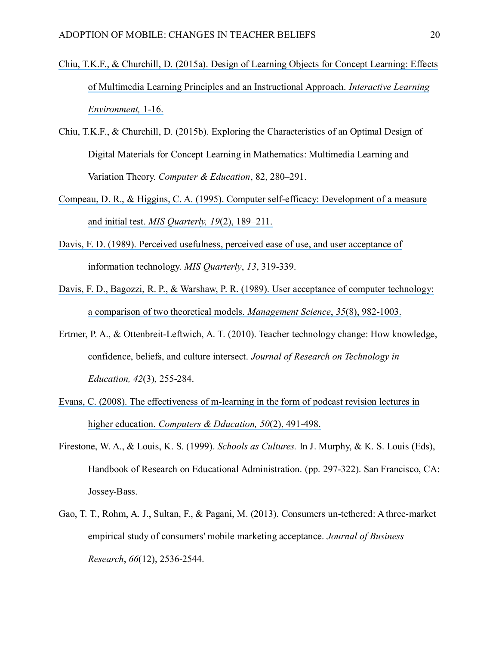- [Chiu, T.K.F., & Churchill, D. \(2015a\). Design of Learning Objects for Concept Learning: Effects](https://www.researchgate.net/publication/273004532_Design_of_learning_objects_for_concept_learning_effects_of_multimedia_learning_principles_and_an_instructional_approach?el=1_x_8&enrichId=rgreq-b3f0b1a4-5eba-4124-9bc7-3fe008e2908f&enrichSource=Y292ZXJQYWdlOzI4ODg4OTA1OTtBUzozMTQ0NjY4NTg2NjgwMzhAMTQ1MTk4NjE0OTg0Nw==)  [of Multimedia Learning Principles and an Instructional Approach.](https://www.researchgate.net/publication/273004532_Design_of_learning_objects_for_concept_learning_effects_of_multimedia_learning_principles_and_an_instructional_approach?el=1_x_8&enrichId=rgreq-b3f0b1a4-5eba-4124-9bc7-3fe008e2908f&enrichSource=Y292ZXJQYWdlOzI4ODg4OTA1OTtBUzozMTQ0NjY4NTg2NjgwMzhAMTQ1MTk4NjE0OTg0Nw==) *Interactive Learning [Environment,](https://www.researchgate.net/publication/273004532_Design_of_learning_objects_for_concept_learning_effects_of_multimedia_learning_principles_and_an_instructional_approach?el=1_x_8&enrichId=rgreq-b3f0b1a4-5eba-4124-9bc7-3fe008e2908f&enrichSource=Y292ZXJQYWdlOzI4ODg4OTA1OTtBUzozMTQ0NjY4NTg2NjgwMzhAMTQ1MTk4NjE0OTg0Nw==)* 1-16.
- Chiu, T.K.F., & Churchill, D. (2015b). Exploring the Characteristics of an Optimal Design of Digital Materials for Concept Learning in Mathematics: Multimedia Learning and Variation Theory. *Computer & Education*, 82, 280–291.
- [Compeau, D. R., & Higgins, C. A. \(1995\). Computer self-efficacy: Development of a measure](https://www.researchgate.net/publication/220259891_Computer_Self-Efficacy_Development_of_a_Measure_and_Initial_Test?el=1_x_8&enrichId=rgreq-b3f0b1a4-5eba-4124-9bc7-3fe008e2908f&enrichSource=Y292ZXJQYWdlOzI4ODg4OTA1OTtBUzozMTQ0NjY4NTg2NjgwMzhAMTQ1MTk4NjE0OTg0Nw==)  and initial test. *[MIS Quarterly, 19](https://www.researchgate.net/publication/220259891_Computer_Self-Efficacy_Development_of_a_Measure_and_Initial_Test?el=1_x_8&enrichId=rgreq-b3f0b1a4-5eba-4124-9bc7-3fe008e2908f&enrichSource=Y292ZXJQYWdlOzI4ODg4OTA1OTtBUzozMTQ0NjY4NTg2NjgwMzhAMTQ1MTk4NjE0OTg0Nw==)*(2), 189–211.
- [Davis, F. D. \(1989\). Perceived usefulness, perceived ease of use, and user acceptance of](https://www.researchgate.net/publication/285023147_Perceived_Usefulness_Perceived_Ease_of_Use_and_User_Acceptance_of_Information_Technology?el=1_x_8&enrichId=rgreq-b3f0b1a4-5eba-4124-9bc7-3fe008e2908f&enrichSource=Y292ZXJQYWdlOzI4ODg4OTA1OTtBUzozMTQ0NjY4NTg2NjgwMzhAMTQ1MTk4NjE0OTg0Nw==) [information technology.](https://www.researchgate.net/publication/285023147_Perceived_Usefulness_Perceived_Ease_of_Use_and_User_Acceptance_of_Information_Technology?el=1_x_8&enrichId=rgreq-b3f0b1a4-5eba-4124-9bc7-3fe008e2908f&enrichSource=Y292ZXJQYWdlOzI4ODg4OTA1OTtBUzozMTQ0NjY4NTg2NjgwMzhAMTQ1MTk4NjE0OTg0Nw==) *MIS Quarterly*, *13*, 319-339.
- [Davis, F. D., Bagozzi, R. P., & Warshaw, P. R. \(1989\). User acceptance of computer technology:](https://www.researchgate.net/publication/248251146_User_Acceptance_of_Computer_Technology_A_Comparison_of_Two_Theoretical_Models?el=1_x_8&enrichId=rgreq-b3f0b1a4-5eba-4124-9bc7-3fe008e2908f&enrichSource=Y292ZXJQYWdlOzI4ODg4OTA1OTtBUzozMTQ0NjY4NTg2NjgwMzhAMTQ1MTk4NjE0OTg0Nw==)  [a comparison of two theoretical models.](https://www.researchgate.net/publication/248251146_User_Acceptance_of_Computer_Technology_A_Comparison_of_Two_Theoretical_Models?el=1_x_8&enrichId=rgreq-b3f0b1a4-5eba-4124-9bc7-3fe008e2908f&enrichSource=Y292ZXJQYWdlOzI4ODg4OTA1OTtBUzozMTQ0NjY4NTg2NjgwMzhAMTQ1MTk4NjE0OTg0Nw==) *Management Science*, *35*(8), 982-1003.
- Ertmer, P. A., & Ottenbreit-Leftwich, A. T. (2010). Teacher technology change: How knowledge, confidence, beliefs, and culture intersect. *Journal of Research on Technology in Education, 42*(3), 255-284.
- [Evans, C. \(2008\). The effectiveness of m-learning in the form of podcast revision lectures in](https://www.researchgate.net/publication/222433026_The_Effectiveness_of_M-Learning_in_the_Form_of_Podcast_Revision_Lectures_in_Higher_Education?el=1_x_8&enrichId=rgreq-b3f0b1a4-5eba-4124-9bc7-3fe008e2908f&enrichSource=Y292ZXJQYWdlOzI4ODg4OTA1OTtBUzozMTQ0NjY4NTg2NjgwMzhAMTQ1MTk4NjE0OTg0Nw==)  higher education. *[Computers & Dducation, 50](https://www.researchgate.net/publication/222433026_The_Effectiveness_of_M-Learning_in_the_Form_of_Podcast_Revision_Lectures_in_Higher_Education?el=1_x_8&enrichId=rgreq-b3f0b1a4-5eba-4124-9bc7-3fe008e2908f&enrichSource=Y292ZXJQYWdlOzI4ODg4OTA1OTtBUzozMTQ0NjY4NTg2NjgwMzhAMTQ1MTk4NjE0OTg0Nw==)*(2), 491-498.
- Firestone, W. A., & Louis, K. S. (1999). *Schools as Cultures.* In J. Murphy, & K. S. Louis (Eds), Handbook of Research on Educational Administration. (pp. 297-322). San Francisco, CA: Jossey-Bass.
- Gao, T. T., Rohm, A. J., Sultan, F., & Pagani, M. (2013). Consumers un-tethered: A three-market empirical study of consumers' mobile marketing acceptance. *Journal of Business Research*, *66*(12), 2536-2544.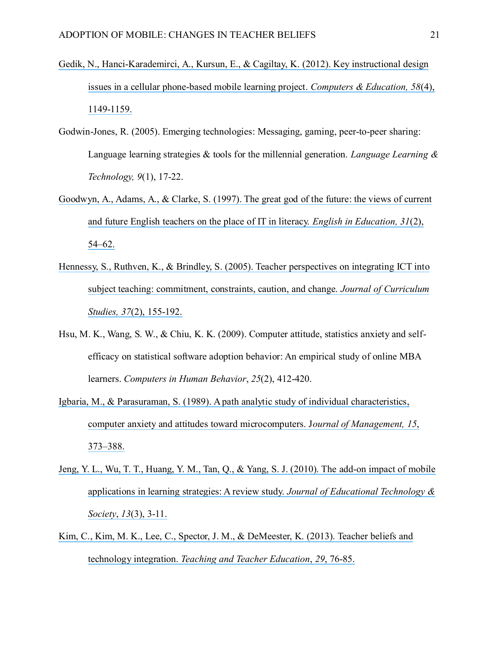- [Gedik, N., Hanci-Karademirci, A., Kursun, E., & Cagiltay, K. \(2012\). Key instructional design](https://www.researchgate.net/publication/220139685_Key_instructional_design_issues_in_a_cellular_phone-based_mobile_learning_project?el=1_x_8&enrichId=rgreq-b3f0b1a4-5eba-4124-9bc7-3fe008e2908f&enrichSource=Y292ZXJQYWdlOzI4ODg4OTA1OTtBUzozMTQ0NjY4NTg2NjgwMzhAMTQ1MTk4NjE0OTg0Nw==) [issues in a cellular phone-based mobile learning project.](https://www.researchgate.net/publication/220139685_Key_instructional_design_issues_in_a_cellular_phone-based_mobile_learning_project?el=1_x_8&enrichId=rgreq-b3f0b1a4-5eba-4124-9bc7-3fe008e2908f&enrichSource=Y292ZXJQYWdlOzI4ODg4OTA1OTtBUzozMTQ0NjY4NTg2NjgwMzhAMTQ1MTk4NjE0OTg0Nw==) *Computers & Education, 58*(4), [1149-1159.](https://www.researchgate.net/publication/220139685_Key_instructional_design_issues_in_a_cellular_phone-based_mobile_learning_project?el=1_x_8&enrichId=rgreq-b3f0b1a4-5eba-4124-9bc7-3fe008e2908f&enrichSource=Y292ZXJQYWdlOzI4ODg4OTA1OTtBUzozMTQ0NjY4NTg2NjgwMzhAMTQ1MTk4NjE0OTg0Nw==)
- Godwin-Jones, R. (2005). Emerging technologies: Messaging, gaming, peer-to-peer sharing: Language learning strategies & tools for the millennial generation. *Language Learning & Technology, 9*(1), 17-22.
- Goodwyn, A., Adams, A., & Clarke, S. (1997). [The great god of the future: the views of current](https://www.researchgate.net/publication/227772422_The_Great_God_of_the_Future_the_Views_of_Current_and_Future_English_Teachers_on_the_Place_of_IT_in_Literacy?el=1_x_8&enrichId=rgreq-b3f0b1a4-5eba-4124-9bc7-3fe008e2908f&enrichSource=Y292ZXJQYWdlOzI4ODg4OTA1OTtBUzozMTQ0NjY4NTg2NjgwMzhAMTQ1MTk4NjE0OTg0Nw==) [and future English teachers on the place of IT in literacy.](https://www.researchgate.net/publication/227772422_The_Great_God_of_the_Future_the_Views_of_Current_and_Future_English_Teachers_on_the_Place_of_IT_in_Literacy?el=1_x_8&enrichId=rgreq-b3f0b1a4-5eba-4124-9bc7-3fe008e2908f&enrichSource=Y292ZXJQYWdlOzI4ODg4OTA1OTtBUzozMTQ0NjY4NTg2NjgwMzhAMTQ1MTk4NjE0OTg0Nw==) *English in Education, 31*(2), [54–62.](https://www.researchgate.net/publication/227772422_The_Great_God_of_the_Future_the_Views_of_Current_and_Future_English_Teachers_on_the_Place_of_IT_in_Literacy?el=1_x_8&enrichId=rgreq-b3f0b1a4-5eba-4124-9bc7-3fe008e2908f&enrichSource=Y292ZXJQYWdlOzI4ODg4OTA1OTtBUzozMTQ0NjY4NTg2NjgwMzhAMTQ1MTk4NjE0OTg0Nw==)
- [Hennessy, S., Ruthven, K., & Brindley, S. \(2005\). Teacher perspectives on integrating ICT into](https://www.researchgate.net/publication/251452560_Teacher_perspectives_on_integrating_ICT_into_subject_teaching_Commitment_constraints_caution_and_change_Journal_of_Curriculum_Studies_372_155-192?el=1_x_8&enrichId=rgreq-b3f0b1a4-5eba-4124-9bc7-3fe008e2908f&enrichSource=Y292ZXJQYWdlOzI4ODg4OTA1OTtBUzozMTQ0NjY4NTg2NjgwMzhAMTQ1MTk4NjE0OTg0Nw==)  [subject teaching: commitment, constraints, caution, and change.](https://www.researchgate.net/publication/251452560_Teacher_perspectives_on_integrating_ICT_into_subject_teaching_Commitment_constraints_caution_and_change_Journal_of_Curriculum_Studies_372_155-192?el=1_x_8&enrichId=rgreq-b3f0b1a4-5eba-4124-9bc7-3fe008e2908f&enrichSource=Y292ZXJQYWdlOzI4ODg4OTA1OTtBUzozMTQ0NjY4NTg2NjgwMzhAMTQ1MTk4NjE0OTg0Nw==) *Journal of Curriculum Studies, 37*[\(2\), 155-192.](https://www.researchgate.net/publication/251452560_Teacher_perspectives_on_integrating_ICT_into_subject_teaching_Commitment_constraints_caution_and_change_Journal_of_Curriculum_Studies_372_155-192?el=1_x_8&enrichId=rgreq-b3f0b1a4-5eba-4124-9bc7-3fe008e2908f&enrichSource=Y292ZXJQYWdlOzI4ODg4OTA1OTtBUzozMTQ0NjY4NTg2NjgwMzhAMTQ1MTk4NjE0OTg0Nw==)
- Hsu, M. K., Wang, S. W., & Chiu, K. K. (2009). Computer attitude, statistics anxiety and selfefficacy on statistical software adoption behavior: An empirical study of online MBA learners. *Computers in Human Behavior*, *25*(2), 412-420.
- [Igbaria, M., & Parasuraman, S. \(1989\). A path analytic study of individual characteristics,](https://www.researchgate.net/publication/247569661_A_Path_Analytic_Study_of_Individual_Characteristics_Computer_Anxiety_and_Attitudes_toward_Microcomputers?el=1_x_8&enrichId=rgreq-b3f0b1a4-5eba-4124-9bc7-3fe008e2908f&enrichSource=Y292ZXJQYWdlOzI4ODg4OTA1OTtBUzozMTQ0NjY4NTg2NjgwMzhAMTQ1MTk4NjE0OTg0Nw==) [computer anxiety and attitudes toward microcomputers. J](https://www.researchgate.net/publication/247569661_A_Path_Analytic_Study_of_Individual_Characteristics_Computer_Anxiety_and_Attitudes_toward_Microcomputers?el=1_x_8&enrichId=rgreq-b3f0b1a4-5eba-4124-9bc7-3fe008e2908f&enrichSource=Y292ZXJQYWdlOzI4ODg4OTA1OTtBUzozMTQ0NjY4NTg2NjgwMzhAMTQ1MTk4NjE0OTg0Nw==)*ournal of Management, 15*, [373–388.](https://www.researchgate.net/publication/247569661_A_Path_Analytic_Study_of_Individual_Characteristics_Computer_Anxiety_and_Attitudes_toward_Microcomputers?el=1_x_8&enrichId=rgreq-b3f0b1a4-5eba-4124-9bc7-3fe008e2908f&enrichSource=Y292ZXJQYWdlOzI4ODg4OTA1OTtBUzozMTQ0NjY4NTg2NjgwMzhAMTQ1MTk4NjE0OTg0Nw==)
- [Jeng, Y. L., Wu, T. T., Huang, Y. M., Tan, Q., & Yang, S. J. \(2010\). The](https://www.researchgate.net/publication/220374488_The_Add-on_Impact_of_Mobile_Applications_in_Learning_Strategies_A_Review_Study?el=1_x_8&enrichId=rgreq-b3f0b1a4-5eba-4124-9bc7-3fe008e2908f&enrichSource=Y292ZXJQYWdlOzI4ODg4OTA1OTtBUzozMTQ0NjY4NTg2NjgwMzhAMTQ1MTk4NjE0OTg0Nw==) add-on impact of mobile [applications in learning strategies: A review study.](https://www.researchgate.net/publication/220374488_The_Add-on_Impact_of_Mobile_Applications_in_Learning_Strategies_A_Review_Study?el=1_x_8&enrichId=rgreq-b3f0b1a4-5eba-4124-9bc7-3fe008e2908f&enrichSource=Y292ZXJQYWdlOzI4ODg4OTA1OTtBUzozMTQ0NjY4NTg2NjgwMzhAMTQ1MTk4NjE0OTg0Nw==) *Journal of Educational Technology & Society*, *13*[\(3\), 3-11.](https://www.researchgate.net/publication/220374488_The_Add-on_Impact_of_Mobile_Applications_in_Learning_Strategies_A_Review_Study?el=1_x_8&enrichId=rgreq-b3f0b1a4-5eba-4124-9bc7-3fe008e2908f&enrichSource=Y292ZXJQYWdlOzI4ODg4OTA1OTtBUzozMTQ0NjY4NTg2NjgwMzhAMTQ1MTk4NjE0OTg0Nw==)
- [Kim, C., Kim, M. K., Lee, C., Spector, J. M., & DeMeester, K. \(2013\). Teacher beliefs and](https://www.researchgate.net/publication/257246060_Teacher_beliefs_and_technology_integration?el=1_x_8&enrichId=rgreq-b3f0b1a4-5eba-4124-9bc7-3fe008e2908f&enrichSource=Y292ZXJQYWdlOzI4ODg4OTA1OTtBUzozMTQ0NjY4NTg2NjgwMzhAMTQ1MTk4NjE0OTg0Nw==)  technology integration. *[Teaching and Teacher Education](https://www.researchgate.net/publication/257246060_Teacher_beliefs_and_technology_integration?el=1_x_8&enrichId=rgreq-b3f0b1a4-5eba-4124-9bc7-3fe008e2908f&enrichSource=Y292ZXJQYWdlOzI4ODg4OTA1OTtBUzozMTQ0NjY4NTg2NjgwMzhAMTQ1MTk4NjE0OTg0Nw==)*, *29*, 76-85.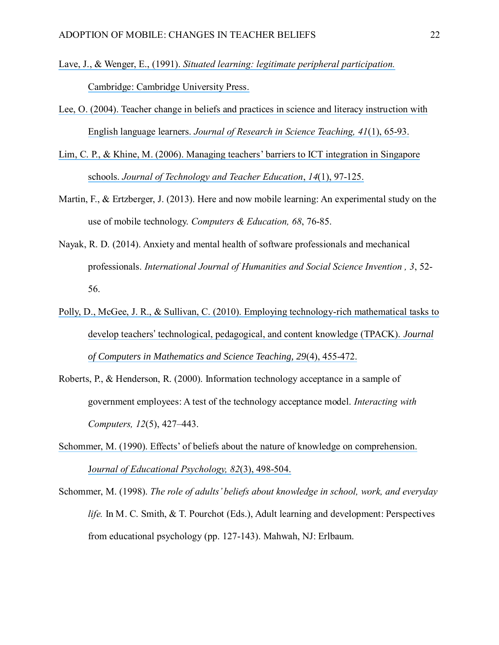- Lave, J., & Wenger, E., (1991). *Situated learning: [legitimate peripheral participation.](https://www.researchgate.net/publication/220040555_Situated_Learning_Legitimate_Peripheral_Participation_Learning_in_Doing?el=1_x_8&enrichId=rgreq-b3f0b1a4-5eba-4124-9bc7-3fe008e2908f&enrichSource=Y292ZXJQYWdlOzI4ODg4OTA1OTtBUzozMTQ0NjY4NTg2NjgwMzhAMTQ1MTk4NjE0OTg0Nw==)* [Cambridge: Cambridge University Press.](https://www.researchgate.net/publication/220040555_Situated_Learning_Legitimate_Peripheral_Participation_Learning_in_Doing?el=1_x_8&enrichId=rgreq-b3f0b1a4-5eba-4124-9bc7-3fe008e2908f&enrichSource=Y292ZXJQYWdlOzI4ODg4OTA1OTtBUzozMTQ0NjY4NTg2NjgwMzhAMTQ1MTk4NjE0OTg0Nw==)
- [Lee, O. \(2004\). Teacher change in beliefs and practices in science and literacy instruction with](https://www.researchgate.net/publication/227784817_Teacher_Change_in_Beliefs_and_Practices_in_Science_and_Literacy_Instruction_with_English_Language_Learners?el=1_x_8&enrichId=rgreq-b3f0b1a4-5eba-4124-9bc7-3fe008e2908f&enrichSource=Y292ZXJQYWdlOzI4ODg4OTA1OTtBUzozMTQ0NjY4NTg2NjgwMzhAMTQ1MTk4NjE0OTg0Nw==)  English language learners. *[Journal of Research in Science Teaching, 41](https://www.researchgate.net/publication/227784817_Teacher_Change_in_Beliefs_and_Practices_in_Science_and_Literacy_Instruction_with_English_Language_Learners?el=1_x_8&enrichId=rgreq-b3f0b1a4-5eba-4124-9bc7-3fe008e2908f&enrichSource=Y292ZXJQYWdlOzI4ODg4OTA1OTtBUzozMTQ0NjY4NTg2NjgwMzhAMTQ1MTk4NjE0OTg0Nw==)*(1), 65-93.
- [Lim, C. P., & Khine, M. \(2006\). Managing teachers' barriers to ICT integration in Singapore](https://www.researchgate.net/publication/49279393_Managing_Teachers)  schools. *[Journal of Technology and Teacher Education](https://www.researchgate.net/publication/49279393_Managing_Teachers)*, *14*(1), 97-125.
- Martin, F., & Ertzberger, J. (2013). Here and now mobile learning: An experimental study on the use of mobile technology. *Computers & Education, 68*, 76-85.
- Nayak, R. D. (2014). Anxiety and mental health of software professionals and mechanical professionals. *International Journal of Humanities and Social Science Invention , 3*, 52- 56.
- [Polly, D., McGee, J. R., & Sullivan, C. \(2010\). Employing technology-rich mathematical tasks to](https://www.researchgate.net/publication/255567450_Employing_Technology-Rich_Mathematical_Tasks_to_Develop_Teachers)  develop teachers' [technological, pedagogical, and content knowledge \(TPACK\).](https://www.researchgate.net/publication/255567450_Employing_Technology-Rich_Mathematical_Tasks_to_Develop_Teachers) *Journal [of Computers in Mathematics and Science Teaching, 29](https://www.researchgate.net/publication/255567450_Employing_Technology-Rich_Mathematical_Tasks_to_Develop_Teachers)*(4), 455-472.
- Roberts, P., & Henderson, R. (2000). Information technology acceptance in a sample of government employees: A test of the technology acceptance model. *Interacting with Computers, 12*(5), 427–443.
- [Schommer, M. \(1990\). Effects' of beliefs about the nature of knowledge on comprehension.](https://www.researchgate.net/publication/200773160_Effects_of_Beliefs_About_the_Nature_of_Knowledge_on_Comprehension?el=1_x_8&enrichId=rgreq-b3f0b1a4-5eba-4124-9bc7-3fe008e2908f&enrichSource=Y292ZXJQYWdlOzI4ODg4OTA1OTtBUzozMTQ0NjY4NTg2NjgwMzhAMTQ1MTk4NjE0OTg0Nw==)  J*[ournal of Educational Psychology, 82](https://www.researchgate.net/publication/200773160_Effects_of_Beliefs_About_the_Nature_of_Knowledge_on_Comprehension?el=1_x_8&enrichId=rgreq-b3f0b1a4-5eba-4124-9bc7-3fe008e2908f&enrichSource=Y292ZXJQYWdlOzI4ODg4OTA1OTtBUzozMTQ0NjY4NTg2NjgwMzhAMTQ1MTk4NjE0OTg0Nw==)*(3), 498-504.
- Schommer, M. (1998). *The role of adults' beliefs about knowledge in school, work, and everyday life.* In M. C. Smith, & T. Pourchot (Eds.), Adult learning and development: Perspectives from educational psychology (pp. 127-143). Mahwah, NJ: Erlbaum.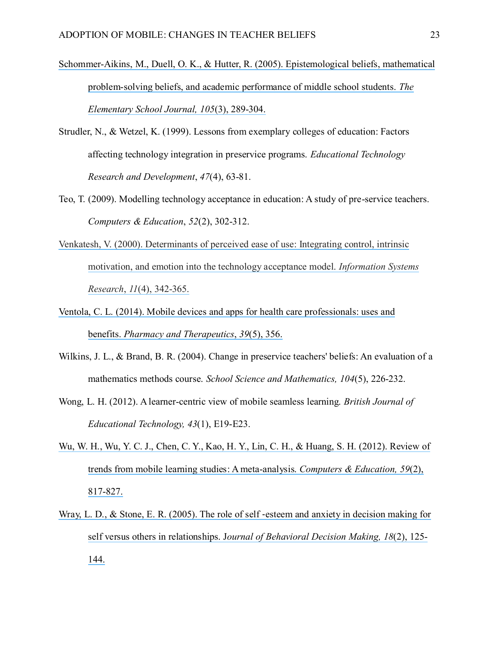- [Schommer-Aikins, M., Duell, O. K., & Hutter, R. \(2005\). Epistemological beliefs, mathematical](https://www.researchgate.net/publication/240558687_Epistemological_Beliefs_Mathematical_Problem-Solving_Beliefs_and_Academic_Performance_of_Middle_School_Students?el=1_x_8&enrichId=rgreq-b3f0b1a4-5eba-4124-9bc7-3fe008e2908f&enrichSource=Y292ZXJQYWdlOzI4ODg4OTA1OTtBUzozMTQ0NjY4NTg2NjgwMzhAMTQ1MTk4NjE0OTg0Nw==) [problem-solving beliefs, and academic performance of middle school students.](https://www.researchgate.net/publication/240558687_Epistemological_Beliefs_Mathematical_Problem-Solving_Beliefs_and_Academic_Performance_of_Middle_School_Students?el=1_x_8&enrichId=rgreq-b3f0b1a4-5eba-4124-9bc7-3fe008e2908f&enrichSource=Y292ZXJQYWdlOzI4ODg4OTA1OTtBUzozMTQ0NjY4NTg2NjgwMzhAMTQ1MTk4NjE0OTg0Nw==) *The [Elementary School Journal, 105](https://www.researchgate.net/publication/240558687_Epistemological_Beliefs_Mathematical_Problem-Solving_Beliefs_and_Academic_Performance_of_Middle_School_Students?el=1_x_8&enrichId=rgreq-b3f0b1a4-5eba-4124-9bc7-3fe008e2908f&enrichSource=Y292ZXJQYWdlOzI4ODg4OTA1OTtBUzozMTQ0NjY4NTg2NjgwMzhAMTQ1MTk4NjE0OTg0Nw==)*(3), 289-304.
- Strudler, N., & Wetzel, K. (1999). Lessons from exemplary colleges of education: Factors affecting technology integration in preservice programs. *Educational Technology Research and Development*, *47*(4), 63-81.
- Teo, T. (2009). Modelling technology acceptance in education: A study of pre-service teachers. *Computers & Education*, *52*(2), 302-312.
- [Venkatesh, V. \(2000\). Determinants of perceived ease of use: Integrating control, intrinsic](https://www.researchgate.net/publication/220079911_)  [motivation, and emotion into the technology acceptance model.](https://www.researchgate.net/publication/220079911_) *Information Systems Research*, *11*[\(4\), 342-365.](https://www.researchgate.net/publication/220079911_)
- [Ventola, C. L. \(2014\). Mobile devices and apps for health care professionals: uses and](https://www.researchgate.net/publication/262779814_Ventola_CL_Mobile_devices_and_apps_for_health_care_professionals_uses_and_benefits?el=1_x_8&enrichId=rgreq-b3f0b1a4-5eba-4124-9bc7-3fe008e2908f&enrichSource=Y292ZXJQYWdlOzI4ODg4OTA1OTtBUzozMTQ0NjY4NTg2NjgwMzhAMTQ1MTk4NjE0OTg0Nw==)  benefits. *[Pharmacy and Therapeutics](https://www.researchgate.net/publication/262779814_Ventola_CL_Mobile_devices_and_apps_for_health_care_professionals_uses_and_benefits?el=1_x_8&enrichId=rgreq-b3f0b1a4-5eba-4124-9bc7-3fe008e2908f&enrichSource=Y292ZXJQYWdlOzI4ODg4OTA1OTtBUzozMTQ0NjY4NTg2NjgwMzhAMTQ1MTk4NjE0OTg0Nw==)*, *39*(5), 356.
- Wilkins, J. L., & Brand, B. R. (2004). Change in preservice teachers' beliefs: An evaluation of a mathematics methods course. *School Science and Mathematics, 104*(5), 226-232.
- Wong, L. H. (2012). A learner-centric view of mobile seamless learning. *British Journal of Educational Technology, 43*(1), E19-E23.
- [Wu, W. H., Wu, Y. C. J., Chen, C. Y., Kao, H. Y., Lin, C. H., & Huang, S. H. \(2012\). Review of](https://www.researchgate.net/publication/257171197_Review_of_trends_from_mobile_learning_studies_a_meta-analysis_Computers_Education_59_817-827?el=1_x_8&enrichId=rgreq-b3f0b1a4-5eba-4124-9bc7-3fe008e2908f&enrichSource=Y292ZXJQYWdlOzI4ODg4OTA1OTtBUzozMTQ0NjY4NTg2NjgwMzhAMTQ1MTk4NjE0OTg0Nw==)  [trends from mobile learning studies: A meta-analysis.](https://www.researchgate.net/publication/257171197_Review_of_trends_from_mobile_learning_studies_a_meta-analysis_Computers_Education_59_817-827?el=1_x_8&enrichId=rgreq-b3f0b1a4-5eba-4124-9bc7-3fe008e2908f&enrichSource=Y292ZXJQYWdlOzI4ODg4OTA1OTtBUzozMTQ0NjY4NTg2NjgwMzhAMTQ1MTk4NjE0OTg0Nw==) *Computers & Education, 59*(2), [817-827.](https://www.researchgate.net/publication/257171197_Review_of_trends_from_mobile_learning_studies_a_meta-analysis_Computers_Education_59_817-827?el=1_x_8&enrichId=rgreq-b3f0b1a4-5eba-4124-9bc7-3fe008e2908f&enrichSource=Y292ZXJQYWdlOzI4ODg4OTA1OTtBUzozMTQ0NjY4NTg2NjgwMzhAMTQ1MTk4NjE0OTg0Nw==)
- Wray, L. D., & Stone, E. R. (2005). The role of self-esteem and anxiety in decision making for self versus others in relationships. J*[ournal of Behavioral Decision Making, 18](https://www.researchgate.net/publication/200008953_The_role_of_self-esteem_and_anxiety_in_decision_making_for_self_versus_others_in_relationships?el=1_x_8&enrichId=rgreq-b3f0b1a4-5eba-4124-9bc7-3fe008e2908f&enrichSource=Y292ZXJQYWdlOzI4ODg4OTA1OTtBUzozMTQ0NjY4NTg2NjgwMzhAMTQ1MTk4NjE0OTg0Nw==)*(2), 125- [144.](https://www.researchgate.net/publication/200008953_The_role_of_self-esteem_and_anxiety_in_decision_making_for_self_versus_others_in_relationships?el=1_x_8&enrichId=rgreq-b3f0b1a4-5eba-4124-9bc7-3fe008e2908f&enrichSource=Y292ZXJQYWdlOzI4ODg4OTA1OTtBUzozMTQ0NjY4NTg2NjgwMzhAMTQ1MTk4NjE0OTg0Nw==)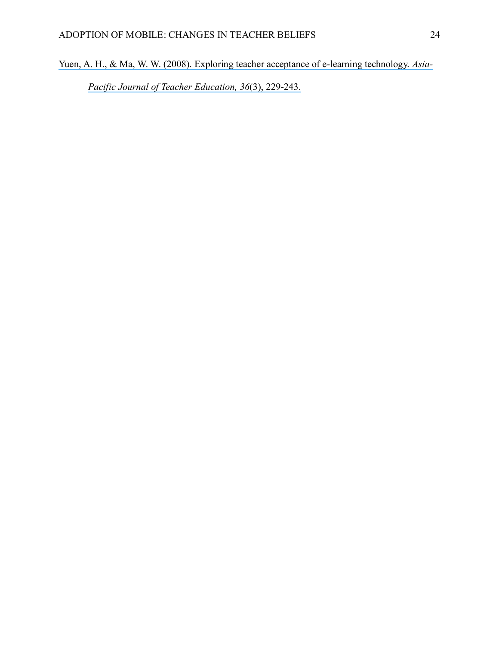[Yuen, A. H., & Ma, W. W. \(2008\). Exploring teacher acceptance of e-learning technology.](https://www.researchgate.net/publication/248984613_Exploring_teacher_acceptance_of_e-learning_technology?el=1_x_8&enrichId=rgreq-b3f0b1a4-5eba-4124-9bc7-3fe008e2908f&enrichSource=Y292ZXJQYWdlOzI4ODg4OTA1OTtBUzozMTQ0NjY4NTg2NjgwMzhAMTQ1MTk4NjE0OTg0Nw==) *Asia-*

*[Pacific Journal of Teacher Education, 36](https://www.researchgate.net/publication/248984613_Exploring_teacher_acceptance_of_e-learning_technology?el=1_x_8&enrichId=rgreq-b3f0b1a4-5eba-4124-9bc7-3fe008e2908f&enrichSource=Y292ZXJQYWdlOzI4ODg4OTA1OTtBUzozMTQ0NjY4NTg2NjgwMzhAMTQ1MTk4NjE0OTg0Nw==)*(3), 229-243.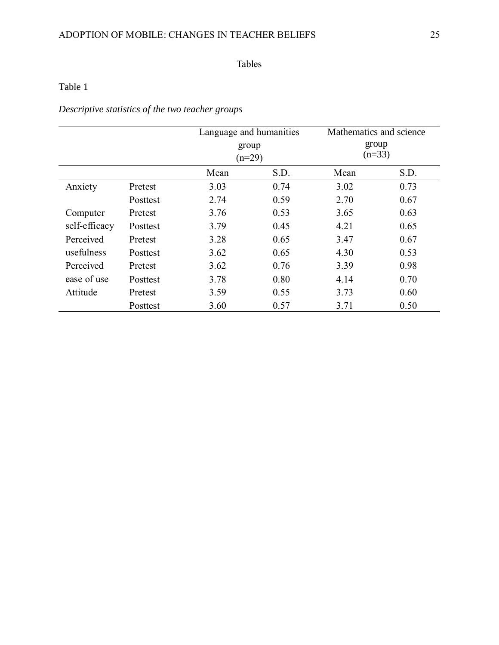# Tables

# Table 1

# *Descriptive statistics of the two teacher groups*

|                          |          | Language and humanities<br>group<br>$(n=29)$ |      | Mathematics and science<br>group<br>$(n=33)$ |      |
|--------------------------|----------|----------------------------------------------|------|----------------------------------------------|------|
|                          |          | Mean                                         | S.D. | Mean                                         | S.D. |
| Anxiety                  | Pretest  | 3.03                                         | 0.74 | 3.02                                         | 0.73 |
|                          | Posttest | 2.74                                         | 0.59 | 2.70                                         | 0.67 |
| Computer                 | Pretest  | 3.76                                         | 0.53 | 3.65                                         | 0.63 |
| self-efficacy            | Posttest | 3.79                                         | 0.45 | 4.21                                         | 0.65 |
| Perceived                | Pretest  | 3.28                                         | 0.65 | 3.47                                         | 0.67 |
| usefulness               | Posttest | 3.62                                         | 0.65 | 4.30                                         | 0.53 |
| Perceived<br>ease of use | Pretest  | 3.62                                         | 0.76 | 3.39                                         | 0.98 |
|                          | Posttest | 3.78                                         | 0.80 | 4.14                                         | 0.70 |
| Attitude                 | Pretest  | 3.59                                         | 0.55 | 3.73                                         | 0.60 |
|                          | Posttest | 3.60                                         | 0.57 | 3.71                                         | 0.50 |